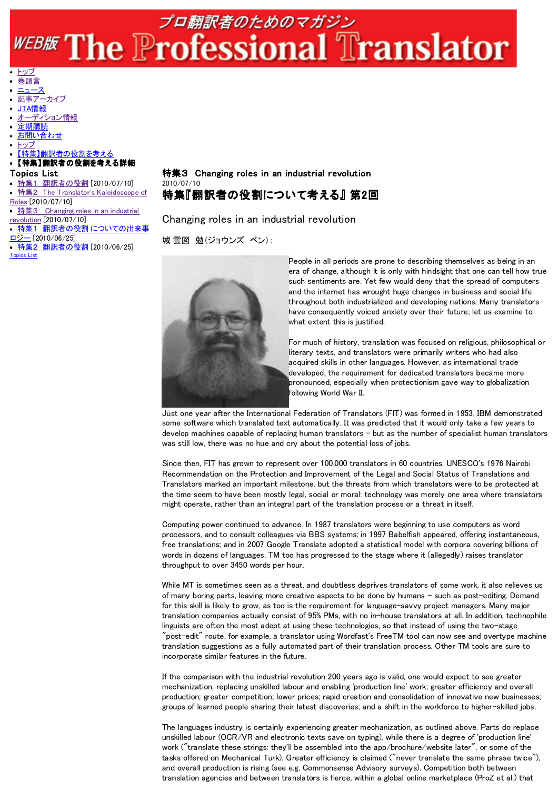## プロ翻訳者のためのマガジン WEBE The Professional Translator

## トップ 巻頭言

- ニュース
- 記事アーカイブ
- JTA情報
- 
- オーディション情報 定期購読
- お問い合わせ
- トップ

【特集】翻訳者の役割を考える 【特集】翻訳者の役割を考える詳細

- Topics List
- 特集1 翻訳者の役割 [2010/07/10]
- 特集2 The Translator's Kaleidoscope of
- Roles [2010/07/10]
- 特集3 Changing roles in an industrial revolution [2010/07/10]
- 特集1 翻訳者の役割 についての出来事
- <u>ロジー</u> [2010/06/25]
- 特集2 翻訳者の役割 [2010/06/25] Topics List

## 特集3 Changing roles in an industrial revolution 2010/07/10 特集『翻訳者の役割について考える』 第2回

Changing roles in an industrial revolution

城 雲図 勉(ジョウンズ ベン):



People in all periods are prone to describing themselves as being in an era of change, although it is only with hindsight that one can tell how true such sentiments are. Yet few would deny that the spread of computers and the internet has wrought huge changes in business and social life throughout both industrialized and developing nations. Many translators have consequently voiced anxiety over their future; let us examine to what extent this is justified.

For much of history, translation was focused on religious, philosophical or literary texts, and translators were primarily writers who had also acquired skills in other languages. However, as international trade developed, the requirement for dedicated translators became more pronounced, especially when protectionism gave way to globalization following World War II.

Just one year after the International Federation of Translators (FIT) was formed in 1953, IBM demonstrated some software which translated text automatically. It was predicted that it would only take a few years to develop machines capable of replacing human translators - but as the number of specialist human translators was still low, there was no hue and cry about the potential loss of jobs.

Since then, FIT has grown to represent over 100,000 translators in 60 countries. UNESCO's 1976 Nairobi Recommendation on the Protection and Improvement of the Legal and Social Status of Translations and Translators marked an important milestone, but the threats from which translators were to be protected at the time seem to have been mostly legal, social or moral: technology was merely one area where translators might operate, rather than an integral part of the translation process or a threat in itself.

Computing power continued to advance. In 1987 translators were beginning to use computers as word processors, and to consult colleagues via BBS systems; in 1997 Babelfish appeared, offering instantaneous, free translations; and in 2007 Google Translate adopted a statistical model with corpora covering billions of words in dozens of languages. TM too has progressed to the stage where it (allegedly) raises translator throughput to over 3450 words per hour.

While MT is sometimes seen as a threat, and doubtless deprives translators of some work, it also relieves us of many boring parts, leaving more creative aspects to be done by humans - such as post-editing. Demand for this skill is likely to grow, as too is the requirement for language-savvy project managers. Many major translation companies actually consist of 95% PMs, with no in-house translators at all. In addition, technophile linguists are often the most adept at using these technologies, so that instead of using the two-stage "post-edit" route, for example, a translator using Wordfast's FreeTM tool can now see and overtype machine translation suggestions as a fully automated part of their translation process. Other TM tools are sure to incorporate similar features in the future.

If the comparison with the industrial revolution 200 years ago is valid, one would expect to see greater mechanization, replacing unskilled labour and enabling 'production line' work; greater efficiency and overall production; greater competition; lower prices; rapid creation and consolidation of innovative new businesses; groups of learned people sharing their latest discoveries; and a shift in the workforce to higher-skilled jobs.

The languages industry is certainly experiencing greater mechanization, as outlined above. Parts do replace unskilled labour (OCR/VR and electronic texts save on typing), while there is a degree of 'production line' work ("translate these strings: they'll be assembled into the app/brochure/website later", or some of the tasks offered on Mechanical Turk). Greater efficiency is claimed ("never translate the same phrase twice"), and overall production is rising (see e.g. Commonsense Advisory surveys). Competition both between translation agencies and between translators is fierce, within a global online marketplace (ProZ et al.) that